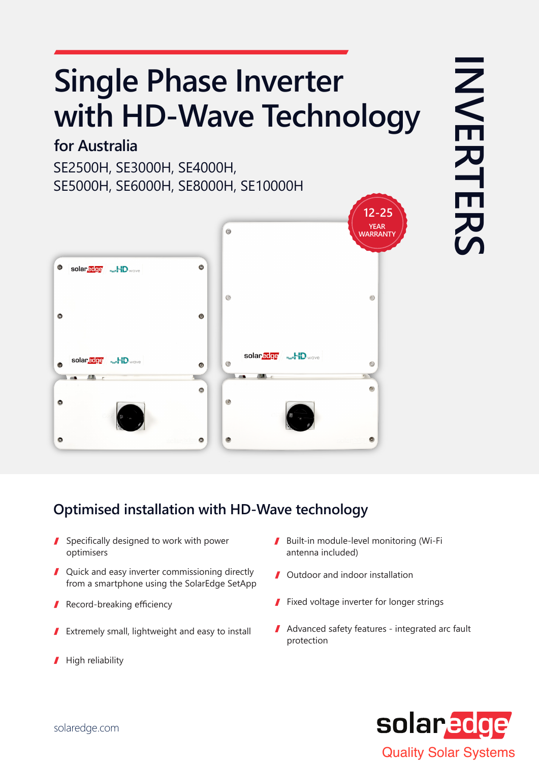## **Single Phase Inverter** with HD-Wave Technology

#### **Australia for**

SE2500H, SE3000H, SE4000H, SE5000H, SE6000H, SE8000H, SE10000H



# **INVERTERS INVERTERS**

#### **Optimised installation with HD-Wave technology**

- $\blacksquare$  Specifically designed to work with power optimisers
- $\blacksquare$  Quick and easy inverter commissioning directly from a smartphone using the SolarEdge SetApp
- Record-breaking efficiency
- Extremely small, lightweight and easy to install 1
- High reliability I
- Built-in module-level monitoring (Wi-Fi antenna included)
- **J** Outdoor and indoor installation
- $\blacksquare$  Fixed voltage inverter for longer strings
- $\blacksquare$  Advanced safety features integrated arc fault protection